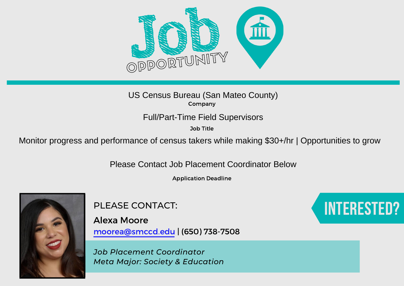

Job Title

US Census Bureau (San Mateo County)<br>
Company<br>
Full/Part-Time Field Supervisors<br>
Job Title<br>
Monitor progress and performance of census takers while making \$30+/hr | Opportunities to grow

Please Contact Job Placement Coordinator Below

Application Deadline



PLEASE CONTACT:

Alexa Moore moorea@smccd.edu | (650) 738-7508

*Job Placement Coordinator Meta Major: Society & Education*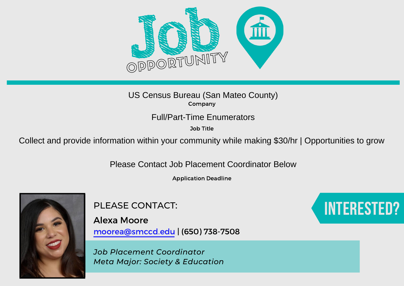

Job Title

US Census Bureau (San Mateo County)<br>
Company<br>
Full/Part-Time Enumerators<br>
Collect and provide information within your community while making \$30/hr | Opportunities to grow

Please Contact Job Placement Coordinator Below

Application Deadline



PLEASE CONTACT:

Alexa Moore moorea@smccd.edu | (650) 738-7508

*Job Placement Coordinator Meta Major: Society & Education*

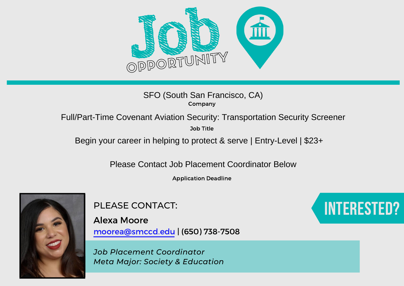

# SFO (South San Francisco, CA)<br>
Company<br>
Full/Part-Time Covenant Aviation Security: Transportation Security Screener<br>
Job Title<br>
Begin your career in helping to protect & serve | Entry-Level | \$23+

Job Title

Please Contact Job Placement Coordinator Below

Application Deadline



PLEASE CONTACT:

Alexa Moore moorea@smccd.edu | (650) 738-7508

*Job Placement Coordinator Meta Major: Society & Education*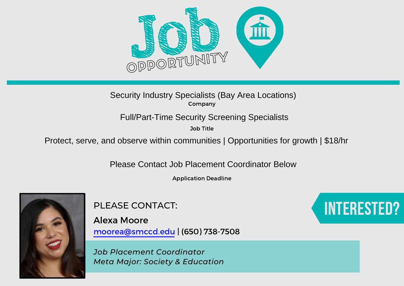

Job Title

Security Industry Specialists (Bay Area Locations)<br>
Company<br>
Full/Part-Time Security Screening Specialists<br>
Job Title<br>
Protect, serve, and observe within communities | Opportunities for growth | \$18/hr<br>
Please Contact Job

Application Deadline



PLEASE CONTACT:

Alexa Moore moorea@smccd.edu | (650) 738-7508

*Job Placement Coordinator Meta Major: Society & Education*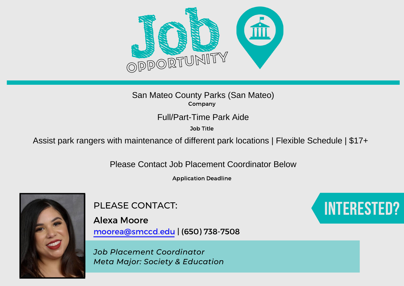

Job Title

San Mateo County Parks (San Mateo)<br>
Company<br>
Full/Part-Time Park Aide<br>
Job Title<br>
Assist park rangers with maintenance of different park locations | Flexible Schedule | \$17+

Please Contact Job Placement Coordinator Below

Application Deadline



PLEASE CONTACT:

Alexa Moore moorea@smccd.edu | (650) 738-7508

*Job Placement Coordinator Meta Major: Society & Education*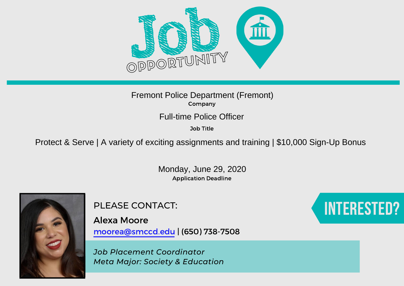

#### Company Fremont Police Department (Fremont)

Job Title

Full-time Police Officer<br><sup>Job Title</sup><br>Protect & Serve | A variety of exciting assignments and training | \$10,000 Sign-Up Bonus

Application Deadline Monday, June 29, 2020



PLEASE CONTACT:

Alexa Moore moorea@smccd.edu | (650) 738-7508

*Job Placement Coordinator Meta Major: Society & Education*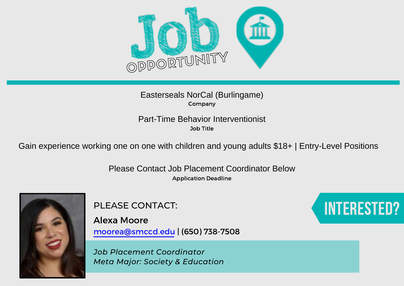

#### Company Easterseals NorCal (Burlingame)

Job Title Part-Time Behavior Interventionist

Gain experience working one on one with children and young adults \$18+ | Entry-Level Positions

Application Deadline Please Contact Job Placement Coordinator Below



PLEASE CONTACT:

Alexa Moore moorea@smccd.edu | (650) 738-7508

*Job Placement Coordinator Meta Major: Society & Education*